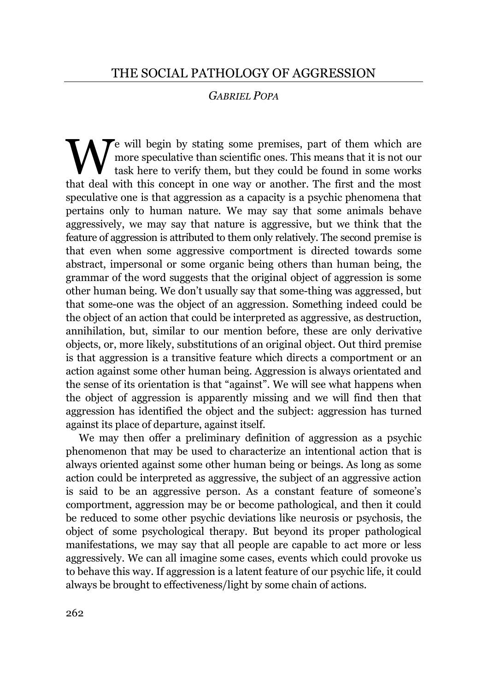## *GABRIEL POPA*

Te will begin by stating some premises, part of them which are more speculative than scientific ones. This means that it is not our task here to verify them, but they could be found in some works We will begin by stating some premises, part of them which are more speculative than scientific ones. This means that it is not our task here to verify them, but they could be found in some works that deal with this concep speculative one is that aggression as a capacity is a psychic phenomena that pertains only to human nature. We may say that some animals behave aggressively, we may say that nature is aggressive, but we think that the feature of aggression is attributed to them only relatively. The second premise is that even when some aggressive comportment is directed towards some abstract, impersonal or some organic being others than human being, the grammar of the word suggests that the original object of aggression is some other human being. We don't usually say that some-thing was aggressed, but that some-one was the object of an aggression. Something indeed could be the object of an action that could be interpreted as aggressive, as destruction, annihilation, but, similar to our mention before, these are only derivative objects, or, more likely, substitutions of an original object. Out third premise is that aggression is a transitive feature which directs a comportment or an action against some other human being. Aggression is always orientated and the sense of its orientation is that "against". We will see what happens when the object of aggression is apparently missing and we will find then that aggression has identified the object and the subject: aggression has turned against its place of departure, against itself.

We may then offer a preliminary definition of aggression as a psychic phenomenon that may be used to characterize an intentional action that is always oriented against some other human being or beings. As long as some action could be interpreted as aggressive, the subject of an aggressive action is said to be an aggressive person. As a constant feature of someone's comportment, aggression may be or become pathological, and then it could be reduced to some other psychic deviations like neurosis or psychosis, the object of some psychological therapy. But beyond its proper pathological manifestations, we may say that all people are capable to act more or less aggressively. We can all imagine some cases, events which could provoke us to behave this way. If aggression is a latent feature of our psychic life, it could always be brought to effectiveness/light by some chain of actions.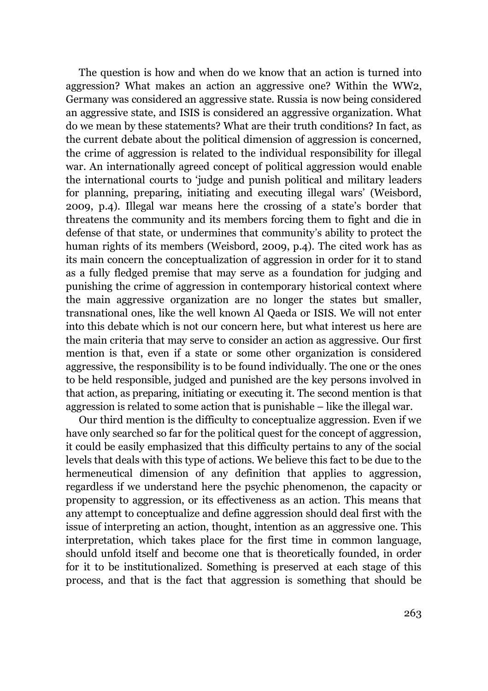The question is how and when do we know that an action is turned into aggression? What makes an action an aggressive one? Within the WW2, Germany was considered an aggressive state. Russia is now being considered an aggressive state, and ISIS is considered an aggressive organization. What do we mean by these statements? What are their truth conditions? In fact, as the current debate about the political dimension of aggression is concerned, the crime of aggression is related to the individual responsibility for illegal war. An internationally agreed concept of political aggression would enable the international courts to 'judge and punish political and military leaders for planning, preparing, initiating and executing illegal wars' (Weisbord, 2009, p.4). Illegal war means here the crossing of a state's border that threatens the community and its members forcing them to fight and die in defense of that state, or undermines that community's ability to protect the human rights of its members (Weisbord, 2009, p.4). The cited work has as its main concern the conceptualization of aggression in order for it to stand as a fully fledged premise that may serve as a foundation for judging and punishing the crime of aggression in contemporary historical context where the main aggressive organization are no longer the states but smaller, transnational ones, like the well known Al Qaeda or ISIS. We will not enter into this debate which is not our concern here, but what interest us here are the main criteria that may serve to consider an action as aggressive. Our first mention is that, even if a state or some other organization is considered aggressive, the responsibility is to be found individually. The one or the ones to be held responsible, judged and punished are the key persons involved in that action, as preparing, initiating or executing it. The second mention is that aggression is related to some action that is punishable – like the illegal war.

Our third mention is the difficulty to conceptualize aggression. Even if we have only searched so far for the political quest for the concept of aggression, it could be easily emphasized that this difficulty pertains to any of the social levels that deals with this type of actions. We believe this fact to be due to the hermeneutical dimension of any definition that applies to aggression, regardless if we understand here the psychic phenomenon, the capacity or propensity to aggression, or its effectiveness as an action. This means that any attempt to conceptualize and define aggression should deal first with the issue of interpreting an action, thought, intention as an aggressive one. This interpretation, which takes place for the first time in common language, should unfold itself and become one that is theoretically founded, in order for it to be institutionalized. Something is preserved at each stage of this process, and that is the fact that aggression is something that should be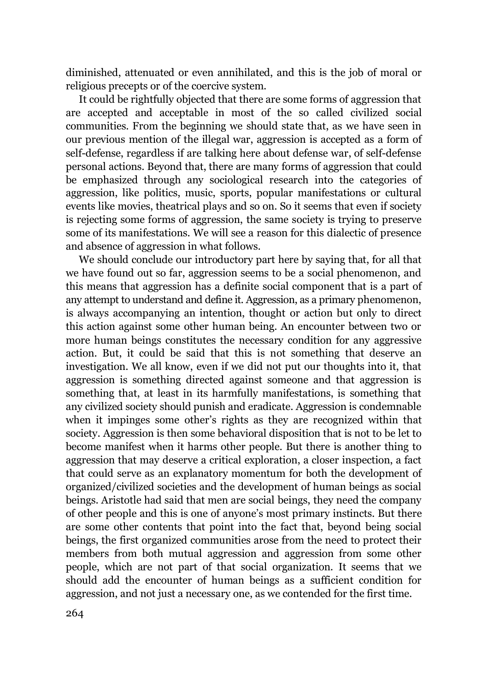diminished, attenuated or even annihilated, and this is the job of moral or religious precepts or of the coercive system.

It could be rightfully objected that there are some forms of aggression that are accepted and acceptable in most of the so called civilized social communities. From the beginning we should state that, as we have seen in our previous mention of the illegal war, aggression is accepted as a form of self-defense, regardless if are talking here about defense war, of self-defense personal actions. Beyond that, there are many forms of aggression that could be emphasized through any sociological research into the categories of aggression, like politics, music, sports, popular manifestations or cultural events like movies, theatrical plays and so on. So it seems that even if society is rejecting some forms of aggression, the same society is trying to preserve some of its manifestations. We will see a reason for this dialectic of presence and absence of aggression in what follows.

We should conclude our introductory part here by saying that, for all that we have found out so far, aggression seems to be a social phenomenon, and this means that aggression has a definite social component that is a part of any attempt to understand and define it. Aggression, as a primary phenomenon, is always accompanying an intention, thought or action but only to direct this action against some other human being. An encounter between two or more human beings constitutes the necessary condition for any aggressive action. But, it could be said that this is not something that deserve an investigation. We all know, even if we did not put our thoughts into it, that aggression is something directed against someone and that aggression is something that, at least in its harmfully manifestations, is something that any civilized society should punish and eradicate. Aggression is condemnable when it impinges some other's rights as they are recognized within that society. Aggression is then some behavioral disposition that is not to be let to become manifest when it harms other people. But there is another thing to aggression that may deserve a critical exploration, a closer inspection, a fact that could serve as an explanatory momentum for both the development of organized/civilized societies and the development of human beings as social beings. Aristotle had said that men are social beings, they need the company of other people and this is one of anyone's most primary instincts. But there are some other contents that point into the fact that, beyond being social beings, the first organized communities arose from the need to protect their members from both mutual aggression and aggression from some other people, which are not part of that social organization. It seems that we should add the encounter of human beings as a sufficient condition for aggression, and not just a necessary one, as we contended for the first time.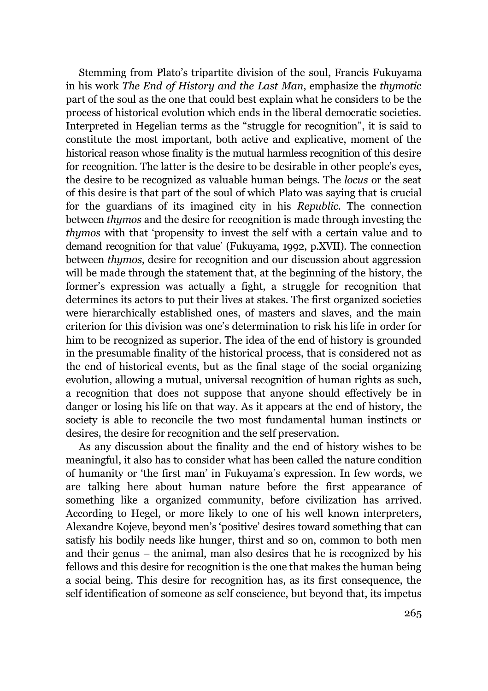Stemming from Plato's tripartite division of the soul, Francis Fukuyama in his work *The End of History and the Last Man*, emphasize the *thymotic* part of the soul as the one that could best explain what he considers to be the process of historical evolution which ends in the liberal democratic societies. Interpreted in Hegelian terms as the "struggle for recognition", it is said to constitute the most important, both active and explicative, moment of the historical reason whose finality is the mutual harmless recognition of this desire for recognition. The latter is the desire to be desirable in other people's eyes, the desire to be recognized as valuable human beings. The *locus* or the seat of this desire is that part of the soul of which Plato was saying that is crucial for the guardians of its imagined city in his *Republic*. The connection between *thymos* and the desire for recognition is made through investing the *thymos* with that 'propensity to invest the self with a certain value and to demand recognition for that value' (Fukuyama, 1992, p.XVII). The connection between *thymos*, desire for recognition and our discussion about aggression will be made through the statement that, at the beginning of the history, the former's expression was actually a fight, a struggle for recognition that determines its actors to put their lives at stakes. The first organized societies were hierarchically established ones, of masters and slaves, and the main criterion for this division was one's determination to risk his life in order for him to be recognized as superior. The idea of the end of history is grounded in the presumable finality of the historical process, that is considered not as the end of historical events, but as the final stage of the social organizing evolution, allowing a mutual, universal recognition of human rights as such, a recognition that does not suppose that anyone should effectively be in danger or losing his life on that way. As it appears at the end of history, the society is able to reconcile the two most fundamental human instincts or desires, the desire for recognition and the self preservation.

As any discussion about the finality and the end of history wishes to be meaningful, it also has to consider what has been called the nature condition of humanity or 'the first man' in Fukuyama's expression. In few words, we are talking here about human nature before the first appearance of something like a organized community, before civilization has arrived. According to Hegel, or more likely to one of his well known interpreters, Alexandre Kojeve, beyond men's 'positive' desires toward something that can satisfy his bodily needs like hunger, thirst and so on, common to both men and their genus – the animal, man also desires that he is recognized by his fellows and this desire for recognition is the one that makes the human being a social being. This desire for recognition has, as its first consequence, the self identification of someone as self conscience, but beyond that, its impetus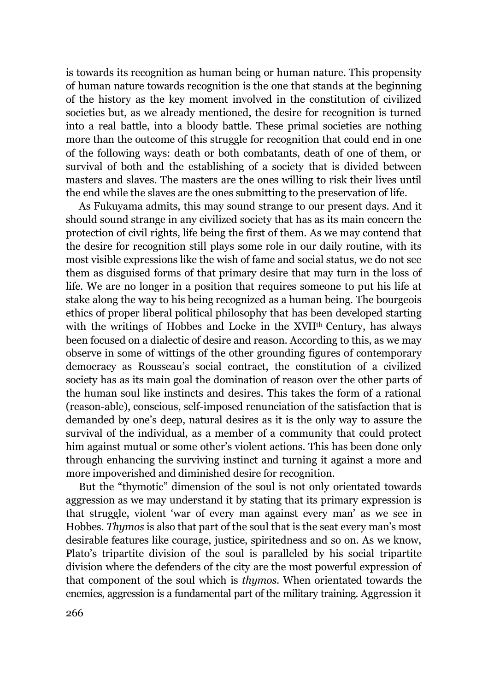is towards its recognition as human being or human nature. This propensity of human nature towards recognition is the one that stands at the beginning of the history as the key moment involved in the constitution of civilized societies but, as we already mentioned, the desire for recognition is turned into a real battle, into a bloody battle. These primal societies are nothing more than the outcome of this struggle for recognition that could end in one of the following ways: death or both combatants, death of one of them, or survival of both and the establishing of a society that is divided between masters and slaves. The masters are the ones willing to risk their lives until the end while the slaves are the ones submitting to the preservation of life.

As Fukuyama admits, this may sound strange to our present days. And it should sound strange in any civilized society that has as its main concern the protection of civil rights, life being the first of them. As we may contend that the desire for recognition still plays some role in our daily routine, with its most visible expressions like the wish of fame and social status, we do not see them as disguised forms of that primary desire that may turn in the loss of life. We are no longer in a position that requires someone to put his life at stake along the way to his being recognized as a human being. The bourgeois ethics of proper liberal political philosophy that has been developed starting with the writings of Hobbes and Locke in the XVII<sup>th</sup> Century, has always been focused on a dialectic of desire and reason. According to this, as we may observe in some of wittings of the other grounding figures of contemporary democracy as Rousseau's social contract, the constitution of a civilized society has as its main goal the domination of reason over the other parts of the human soul like instincts and desires. This takes the form of a rational (reason-able), conscious, self-imposed renunciation of the satisfaction that is demanded by one's deep, natural desires as it is the only way to assure the survival of the individual, as a member of a community that could protect him against mutual or some other's violent actions. This has been done only through enhancing the surviving instinct and turning it against a more and more impoverished and diminished desire for recognition.

But the "thymotic" dimension of the soul is not only orientated towards aggression as we may understand it by stating that its primary expression is that struggle, violent 'war of every man against every man' as we see in Hobbes. *Thymos* is also that part of the soul that is the seat every man's most desirable features like courage, justice, spiritedness and so on. As we know, Plato's tripartite division of the soul is paralleled by his social tripartite division where the defenders of the city are the most powerful expression of that component of the soul which is *thymos*. When orientated towards the enemies, aggression is a fundamental part of the military training. Aggression it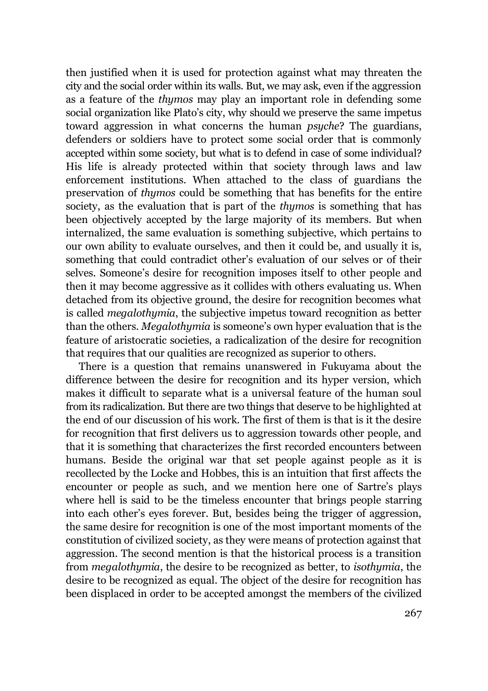then justified when it is used for protection against what may threaten the city and the social order within its walls. But, we may ask, even if the aggression as a feature of the *thymos* may play an important role in defending some social organization like Plato's city, why should we preserve the same impetus toward aggression in what concerns the human *psyche*? The guardians, defenders or soldiers have to protect some social order that is commonly accepted within some society, but what is to defend in case of some individual? His life is already protected within that society through laws and law enforcement institutions. When attached to the class of guardians the preservation of *thymos* could be something that has benefits for the entire society, as the evaluation that is part of the *thymos* is something that has been objectively accepted by the large majority of its members. But when internalized, the same evaluation is something subjective, which pertains to our own ability to evaluate ourselves, and then it could be, and usually it is, something that could contradict other's evaluation of our selves or of their selves. Someone's desire for recognition imposes itself to other people and then it may become aggressive as it collides with others evaluating us. When detached from its objective ground, the desire for recognition becomes what is called *megalothymia*, the subjective impetus toward recognition as better than the others. *Megalothymia* is someone's own hyper evaluation that is the feature of aristocratic societies, a radicalization of the desire for recognition that requires that our qualities are recognized as superior to others.

There is a question that remains unanswered in Fukuyama about the difference between the desire for recognition and its hyper version, which makes it difficult to separate what is a universal feature of the human soul from its radicalization. But there are two things that deserve to be highlighted at the end of our discussion of his work. The first of them is that is it the desire for recognition that first delivers us to aggression towards other people, and that it is something that characterizes the first recorded encounters between humans. Beside the original war that set people against people as it is recollected by the Locke and Hobbes, this is an intuition that first affects the encounter or people as such, and we mention here one of Sartre's plays where hell is said to be the timeless encounter that brings people starring into each other's eyes forever. But, besides being the trigger of aggression, the same desire for recognition is one of the most important moments of the constitution of civilized society, as they were means of protection against that aggression. The second mention is that the historical process is a transition from *megalothymia*, the desire to be recognized as better, to *isothymia*, the desire to be recognized as equal. The object of the desire for recognition has been displaced in order to be accepted amongst the members of the civilized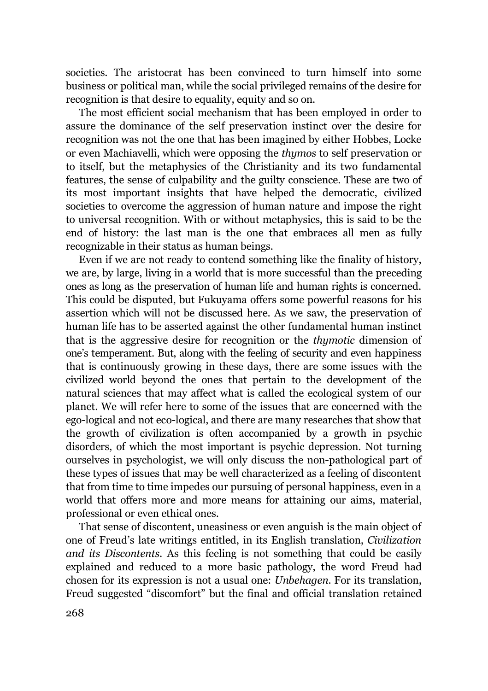societies. The aristocrat has been convinced to turn himself into some business or political man, while the social privileged remains of the desire for recognition is that desire to equality, equity and so on.

The most efficient social mechanism that has been employed in order to assure the dominance of the self preservation instinct over the desire for recognition was not the one that has been imagined by either Hobbes, Locke or even Machiavelli, which were opposing the *thymos* to self preservation or to itself, but the metaphysics of the Christianity and its two fundamental features, the sense of culpability and the guilty conscience. These are two of its most important insights that have helped the democratic, civilized societies to overcome the aggression of human nature and impose the right to universal recognition. With or without metaphysics, this is said to be the end of history: the last man is the one that embraces all men as fully recognizable in their status as human beings.

Even if we are not ready to contend something like the finality of history, we are, by large, living in a world that is more successful than the preceding ones as long as the preservation of human life and human rights is concerned. This could be disputed, but Fukuyama offers some powerful reasons for his assertion which will not be discussed here. As we saw, the preservation of human life has to be asserted against the other fundamental human instinct that is the aggressive desire for recognition or the *thymotic* dimension of one's temperament. But, along with the feeling of security and even happiness that is continuously growing in these days, there are some issues with the civilized world beyond the ones that pertain to the development of the natural sciences that may affect what is called the ecological system of our planet. We will refer here to some of the issues that are concerned with the ego-logical and not eco-logical, and there are many researches that show that the growth of civilization is often accompanied by a growth in psychic disorders, of which the most important is psychic depression. Not turning ourselves in psychologist, we will only discuss the non-pathological part of these types of issues that may be well characterized as a feeling of discontent that from time to time impedes our pursuing of personal happiness, even in a world that offers more and more means for attaining our aims, material, professional or even ethical ones.

That sense of discontent, uneasiness or even anguish is the main object of one of Freud's late writings entitled, in its English translation, *Civilization and its Discontents*. As this feeling is not something that could be easily explained and reduced to a more basic pathology, the word Freud had chosen for its expression is not a usual one: *Unbehagen*. For its translation, Freud suggested "discomfort" but the final and official translation retained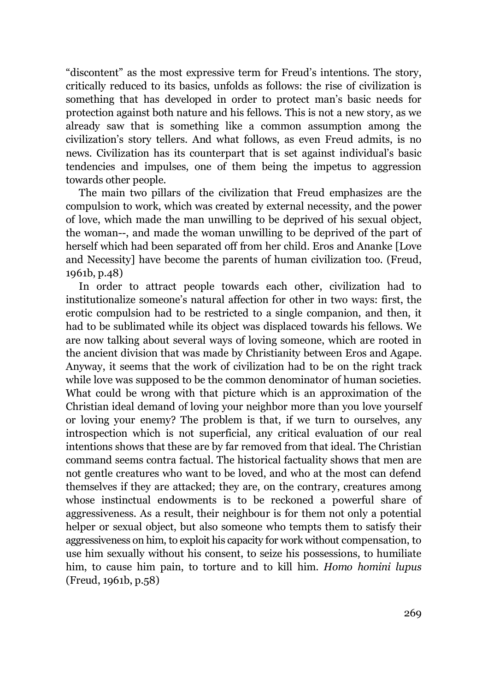"discontent" as the most expressive term for Freud's intentions. The story, critically reduced to its basics, unfolds as follows: the rise of civilization is something that has developed in order to protect man's basic needs for protection against both nature and his fellows. This is not a new story, as we already saw that is something like a common assumption among the civilization's story tellers. And what follows, as even Freud admits, is no news. Civilization has its counterpart that is set against individual's basic tendencies and impulses, one of them being the impetus to aggression towards other people.

The main two pillars of the civilization that Freud emphasizes are the compulsion to work, which was created by external necessity, and the power of love, which made the man unwilling to be deprived of his sexual object, the woman--, and made the woman unwilling to be deprived of the part of herself which had been separated off from her child. Eros and Ananke [Love and Necessity] have become the parents of human civilization too. (Freud, 1961b, p.48)

In order to attract people towards each other, civilization had to institutionalize someone's natural affection for other in two ways: first, the erotic compulsion had to be restricted to a single companion, and then, it had to be sublimated while its object was displaced towards his fellows. We are now talking about several ways of loving someone, which are rooted in the ancient division that was made by Christianity between Eros and Agape. Anyway, it seems that the work of civilization had to be on the right track while love was supposed to be the common denominator of human societies. What could be wrong with that picture which is an approximation of the Christian ideal demand of loving your neighbor more than you love yourself or loving your enemy? The problem is that, if we turn to ourselves, any introspection which is not superficial, any critical evaluation of our real intentions shows that these are by far removed from that ideal. The Christian command seems contra factual. The historical factuality shows that men are not gentle creatures who want to be loved, and who at the most can defend themselves if they are attacked; they are, on the contrary, creatures among whose instinctual endowments is to be reckoned a powerful share of aggressiveness. As a result, their neighbour is for them not only a potential helper or sexual object, but also someone who tempts them to satisfy their aggressiveness on him, to exploit his capacity for work without compensation, to use him sexually without his consent, to seize his possessions, to humiliate him, to cause him pain, to torture and to kill him. *Homo homini lupus* (Freud, 1961b, p.58)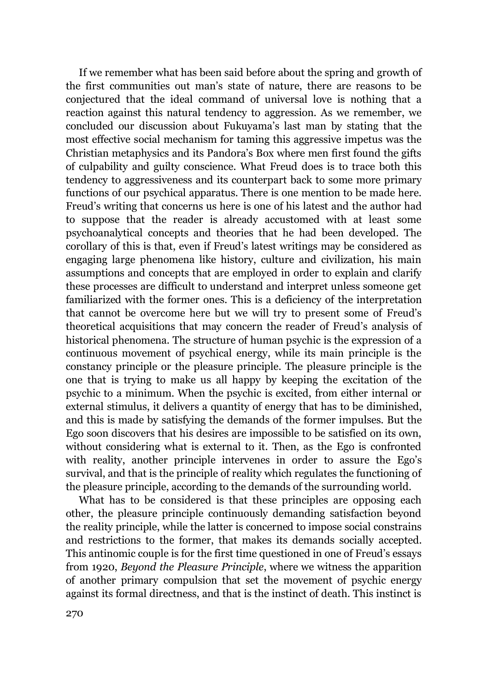If we remember what has been said before about the spring and growth of the first communities out man's state of nature, there are reasons to be conjectured that the ideal command of universal love is nothing that a reaction against this natural tendency to aggression. As we remember, we concluded our discussion about Fukuyama's last man by stating that the most effective social mechanism for taming this aggressive impetus was the Christian metaphysics and its Pandora's Box where men first found the gifts of culpability and guilty conscience. What Freud does is to trace both this tendency to aggressiveness and its counterpart back to some more primary functions of our psychical apparatus. There is one mention to be made here. Freud's writing that concerns us here is one of his latest and the author had to suppose that the reader is already accustomed with at least some psychoanalytical concepts and theories that he had been developed. The corollary of this is that, even if Freud's latest writings may be considered as engaging large phenomena like history, culture and civilization, his main assumptions and concepts that are employed in order to explain and clarify these processes are difficult to understand and interpret unless someone get familiarized with the former ones. This is a deficiency of the interpretation that cannot be overcome here but we will try to present some of Freud's theoretical acquisitions that may concern the reader of Freud's analysis of historical phenomena. The structure of human psychic is the expression of a continuous movement of psychical energy, while its main principle is the constancy principle or the pleasure principle. The pleasure principle is the one that is trying to make us all happy by keeping the excitation of the psychic to a minimum. When the psychic is excited, from either internal or external stimulus, it delivers a quantity of energy that has to be diminished, and this is made by satisfying the demands of the former impulses. But the Ego soon discovers that his desires are impossible to be satisfied on its own, without considering what is external to it. Then, as the Ego is confronted with reality, another principle intervenes in order to assure the Ego's survival, and that is the principle of reality which regulates the functioning of the pleasure principle, according to the demands of the surrounding world.

What has to be considered is that these principles are opposing each other, the pleasure principle continuously demanding satisfaction beyond the reality principle, while the latter is concerned to impose social constrains and restrictions to the former, that makes its demands socially accepted. This antinomic couple is for the first time questioned in one of Freud's essays from 1920, *Beyond the Pleasure Principle*, where we witness the apparition of another primary compulsion that set the movement of psychic energy against its formal directness, and that is the instinct of death. This instinct is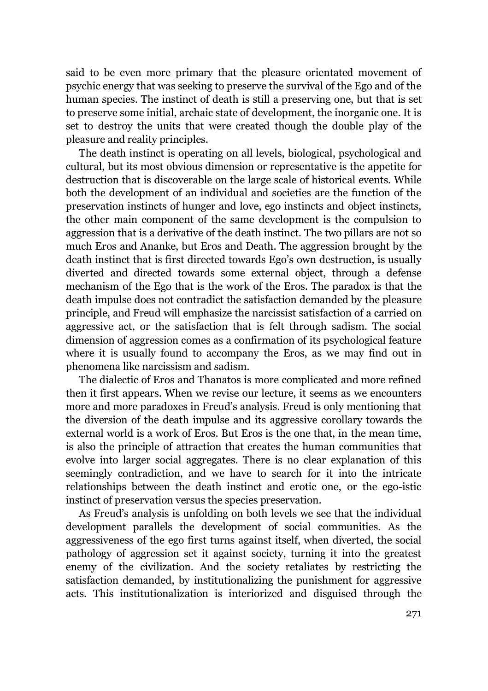said to be even more primary that the pleasure orientated movement of psychic energy that was seeking to preserve the survival of the Ego and of the human species. The instinct of death is still a preserving one, but that is set to preserve some initial, archaic state of development, the inorganic one. It is set to destroy the units that were created though the double play of the pleasure and reality principles.

The death instinct is operating on all levels, biological, psychological and cultural, but its most obvious dimension or representative is the appetite for destruction that is discoverable on the large scale of historical events. While both the development of an individual and societies are the function of the preservation instincts of hunger and love, ego instincts and object instincts, the other main component of the same development is the compulsion to aggression that is a derivative of the death instinct. The two pillars are not so much Eros and Ananke, but Eros and Death. The aggression brought by the death instinct that is first directed towards Ego's own destruction, is usually diverted and directed towards some external object, through a defense mechanism of the Ego that is the work of the Eros. The paradox is that the death impulse does not contradict the satisfaction demanded by the pleasure principle, and Freud will emphasize the narcissist satisfaction of a carried on aggressive act, or the satisfaction that is felt through sadism. The social dimension of aggression comes as a confirmation of its psychological feature where it is usually found to accompany the Eros, as we may find out in phenomena like narcissism and sadism.

The dialectic of Eros and Thanatos is more complicated and more refined then it first appears. When we revise our lecture, it seems as we encounters more and more paradoxes in Freud's analysis. Freud is only mentioning that the diversion of the death impulse and its aggressive corollary towards the external world is a work of Eros. But Eros is the one that, in the mean time, is also the principle of attraction that creates the human communities that evolve into larger social aggregates. There is no clear explanation of this seemingly contradiction, and we have to search for it into the intricate relationships between the death instinct and erotic one, or the ego-istic instinct of preservation versus the species preservation.

As Freud's analysis is unfolding on both levels we see that the individual development parallels the development of social communities. As the aggressiveness of the ego first turns against itself, when diverted, the social pathology of aggression set it against society, turning it into the greatest enemy of the civilization. And the society retaliates by restricting the satisfaction demanded, by institutionalizing the punishment for aggressive acts. This institutionalization is interiorized and disguised through the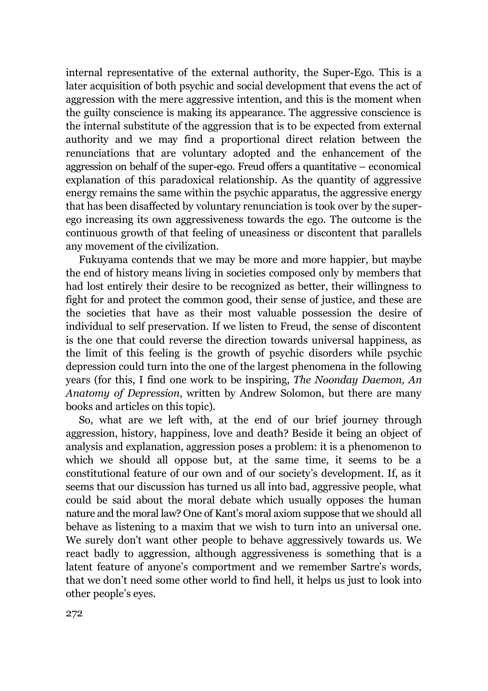internal representative of the external authority, the Super-Ego. This is a later acquisition of both psychic and social development that evens the act of aggression with the mere aggressive intention, and this is the moment when the guilty conscience is making its appearance. The aggressive conscience is the internal substitute of the aggression that is to be expected from external authority and we may find a proportional direct relation between the renunciations that are voluntary adopted and the enhancement of the aggression on behalf of the super-ego. Freud offers a quantitative – economical explanation of this paradoxical relationship. As the quantity of aggressive energy remains the same within the psychic apparatus, the aggressive energy that has been disaffected by voluntary renunciation is took over by the superego increasing its own aggressiveness towards the ego. The outcome is the continuous growth of that feeling of uneasiness or discontent that parallels any movement of the civilization.

Fukuyama contends that we may be more and more happier, but maybe the end of history means living in societies composed only by members that had lost entirely their desire to be recognized as better, their willingness to fight for and protect the common good, their sense of justice, and these are the societies that have as their most valuable possession the desire of individual to self preservation. If we listen to Freud, the sense of discontent is the one that could reverse the direction towards universal happiness, as the limit of this feeling is the growth of psychic disorders while psychic depression could turn into the one of the largest phenomena in the following years (for this, I find one work to be inspiring, *The Noonday Daemon, An Anatomy of Depression*, written by Andrew Solomon, but there are many books and articles on this topic).

So, what are we left with, at the end of our brief journey through aggression, history, happiness, love and death? Beside it being an object of analysis and explanation, aggression poses a problem: it is a phenomenon to which we should all oppose but, at the same time, it seems to be a constitutional feature of our own and of our society's development. If, as it seems that our discussion has turned us all into bad, aggressive people, what could be said about the moral debate which usually opposes the human nature and the moral law? One of Kant's moral axiom suppose that we should all behave as listening to a maxim that we wish to turn into an universal one. We surely don't want other people to behave aggressively towards us. We react badly to aggression, although aggressiveness is something that is a latent feature of anyone's comportment and we remember Sartre's words, that we don't need some other world to find hell, it helps us just to look into other people's eyes.